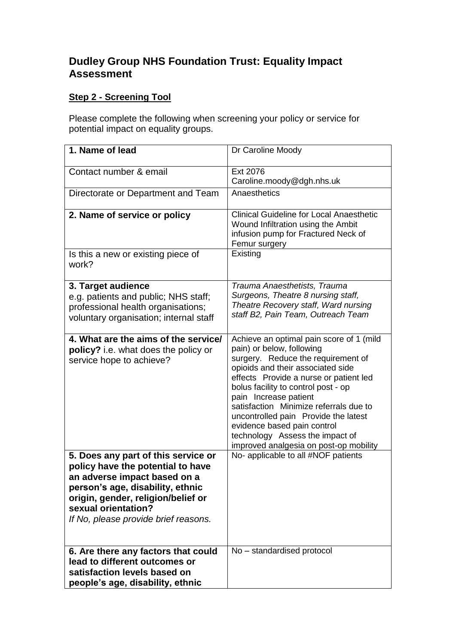## **Dudley Group NHS Foundation Trust: Equality Impact Assessment**

## **Step 2 - Screening Tool**

Please complete the following when screening your policy or service for potential impact on equality groups.

| 1. Name of lead                                                                                                                                                                                                                                   | Dr Caroline Moody                                                                                                                                                                                                                                                                                                                                                                                                                                        |
|---------------------------------------------------------------------------------------------------------------------------------------------------------------------------------------------------------------------------------------------------|----------------------------------------------------------------------------------------------------------------------------------------------------------------------------------------------------------------------------------------------------------------------------------------------------------------------------------------------------------------------------------------------------------------------------------------------------------|
| Contact number & email                                                                                                                                                                                                                            | Ext 2076<br>Caroline.moody@dgh.nhs.uk                                                                                                                                                                                                                                                                                                                                                                                                                    |
| Directorate or Department and Team                                                                                                                                                                                                                | Anaesthetics                                                                                                                                                                                                                                                                                                                                                                                                                                             |
| 2. Name of service or policy                                                                                                                                                                                                                      | <b>Clinical Guideline for Local Anaesthetic</b><br>Wound Infiltration using the Ambit<br>infusion pump for Fractured Neck of<br>Femur surgery                                                                                                                                                                                                                                                                                                            |
| Is this a new or existing piece of<br>work?                                                                                                                                                                                                       | Existing                                                                                                                                                                                                                                                                                                                                                                                                                                                 |
| 3. Target audience<br>e.g. patients and public; NHS staff;<br>professional health organisations;<br>voluntary organisation; internal staff                                                                                                        | Trauma Anaesthetists, Trauma<br>Surgeons, Theatre 8 nursing staff,<br>Theatre Recovery staff, Ward nursing<br>staff B2, Pain Team, Outreach Team                                                                                                                                                                                                                                                                                                         |
| 4. What are the aims of the service/<br>policy? i.e. what does the policy or<br>service hope to achieve?                                                                                                                                          | Achieve an optimal pain score of 1 (mild<br>pain) or below, following<br>surgery. Reduce the requirement of<br>opioids and their associated side<br>effects Provide a nurse or patient led<br>bolus facility to control post - op<br>pain Increase patient<br>satisfaction Minimize referrals due to<br>uncontrolled pain Provide the latest<br>evidence based pain control<br>technology Assess the impact of<br>improved analgesia on post-op mobility |
| 5. Does any part of this service or<br>policy have the potential to have<br>an adverse impact based on a<br>person's age, disability, ethnic<br>origin, gender, religion/belief or<br>sexual orientation?<br>If No, please provide brief reasons. | No- applicable to all #NOF patients                                                                                                                                                                                                                                                                                                                                                                                                                      |
| 6. Are there any factors that could<br>lead to different outcomes or<br>satisfaction levels based on<br>people's age, disability, ethnic                                                                                                          | No - standardised protocol                                                                                                                                                                                                                                                                                                                                                                                                                               |